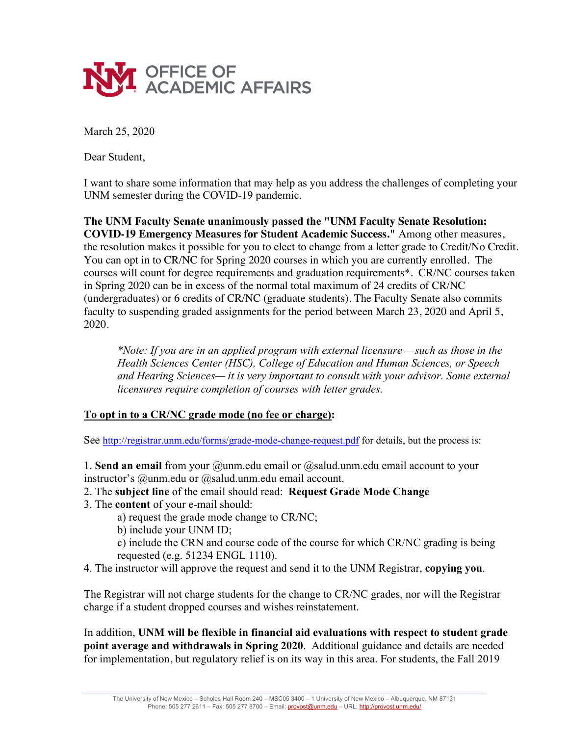

March 25, 2020

Dear Student,

I want to share some information that may help as you address the challenges of completing your UNM semester during the COVID-19 pandemic.

**The UNM Faculty Senate unanimously passed the "UNM Faculty Senate Resolution: COVID-19 Emergency Measures for Student Academic Success."** Among other measures, the resolution makes it possible for you to elect to change from a letter grade to Credit/No Credit. You can opt in to CR/NC for Spring 2020 courses in which you are currently enrolled. The courses will count for degree requirements and graduation requirements\*. CR/NC courses taken in Spring 2020 can be in excess of the normal total maximum of 24 credits of CR/NC (undergraduates) or 6 credits of CR/NC (graduate students). The Faculty Senate also commits faculty to suspending graded assignments for the period between March 23, 2020 and April 5, 2020.

*\*Note: If you are in an applied program with external licensure —such as those in the Health Sciences Center (HSC), College of Education and Human Sciences, or Speech and Hearing Sciences— it is very important to consult with your advisor. Some external licensures require completion of courses with letter grades.* 

## **To opt in to a CR/NC grade mode (no fee or charge):**

See http://registrar.unm.edu/forms/grade-mode-change-request.pdf for details, but the process is:

1. **Send an email** from your @unm.edu email or @salud.unm.edu email account to your instructor's @unm.edu or @salud.unm.edu email account.

- 2. The **subject line** of the email should read: **Request Grade Mode Change**
- 3. The **content** of your e-mail should:
	- a) request the grade mode change to CR/NC;
	- b) include your UNM ID;

c) include the CRN and course code of the course for which CR/NC grading is being requested (e.g. 51234 ENGL 1110).

4. The instructor will approve the request and send it to the UNM Registrar, **copying you**.

The Registrar will not charge students for the change to CR/NC grades, nor will the Registrar charge if a student dropped courses and wishes reinstatement.

In addition, **UNM will be flexible in financial aid evaluations with respect to student grade point average and withdrawals in Spring 2020**. Additional guidance and details are needed for implementation, but regulatory relief is on its way in this area. For students, the Fall 2019